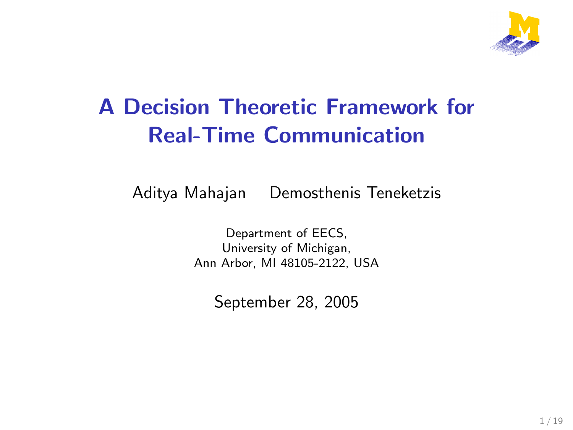

# A Decision Theoretic Framework for Real-Time Communication

Aditya Mahajan Demosthenis Teneketzis

Department of EECS, University of Michigan, Ann Arbor, MI 48105-2122, USA

September 28, 2005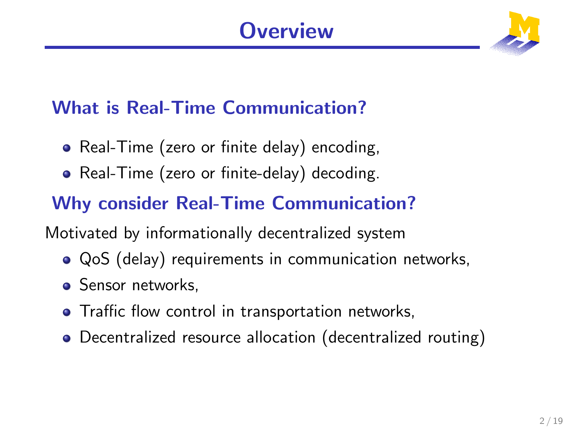

## What is Real-Time Communication?

- Real-Time (zero or finite delay) encoding,
- Real-Time (zero or finite-delay) decoding.

# Why consider Real-Time Communication?

Motivated by informationally decentralized system

- QoS (delay) requirements in communication networks,
- Sensor networks,
- **•** Traffic flow control in transportation networks,
- Decentralized resource allocation (decentralized routing)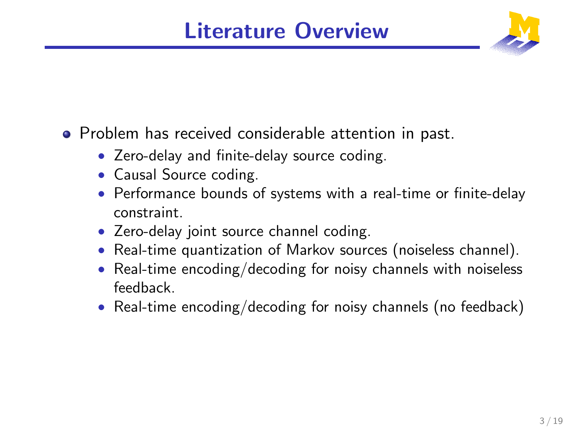# Literature Overview



- Problem has received considerable attention in past.
	- Zero-delay and finite-delay source coding.
	- Causal Source coding.
	- Performance bounds of systems with a real-time or finite-delay constraint.
	- Zero-delay joint source channel coding.
	- Real-time quantization of Markov sources (noiseless channel).
	- Real-time encoding/decoding for noisy channels with noiseless feedback.
	- Real-time encoding/decoding for noisy channels (no feedback)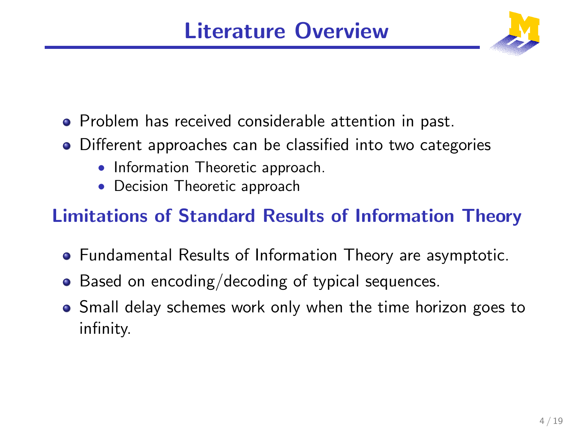# Literature Overview



- Problem has received considerable attention in past.
- Different approaches can be classified into two categories
	- Information Theoretic approach.
	- Decision Theoretic approach

## Limitations of Standard Results of Information Theory

- Fundamental Results of Information Theory are asymptotic.
- Based on encoding/decoding of typical sequences.
- Small delay schemes work only when the time horizon goes to infinity.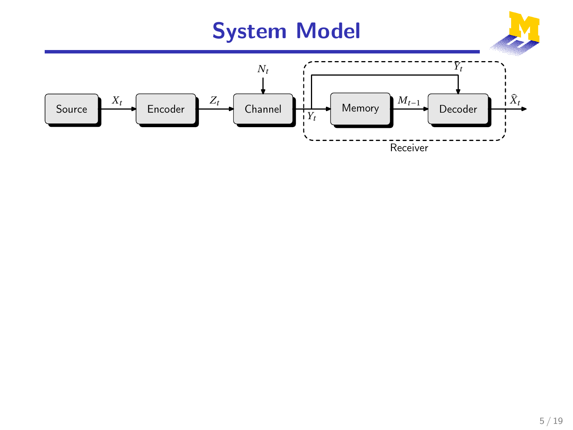# System Model

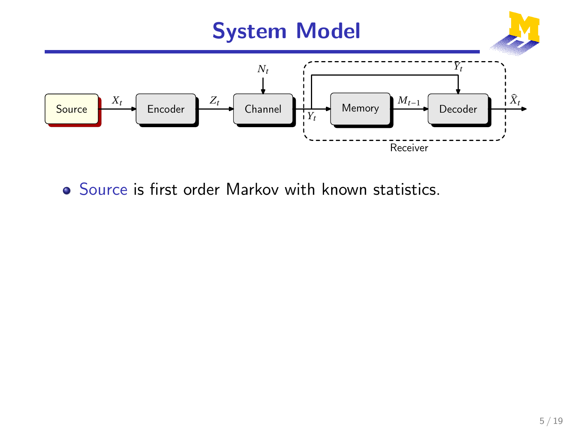

• Source is first order Markov with known statistics.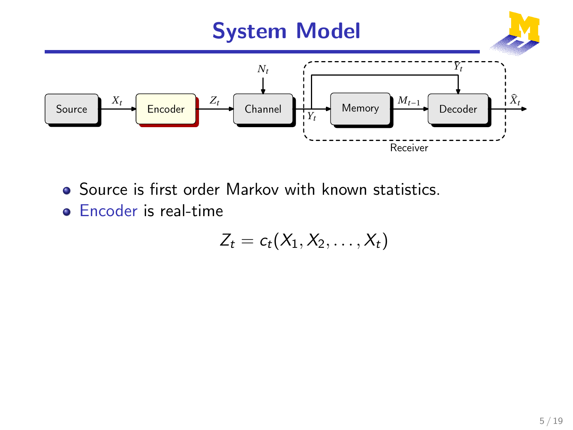

- Source is first order Markov with known statistics.
- **•** Encoder is real-time

$$
Z_t = c_t(X_1, X_2, \ldots, X_t)
$$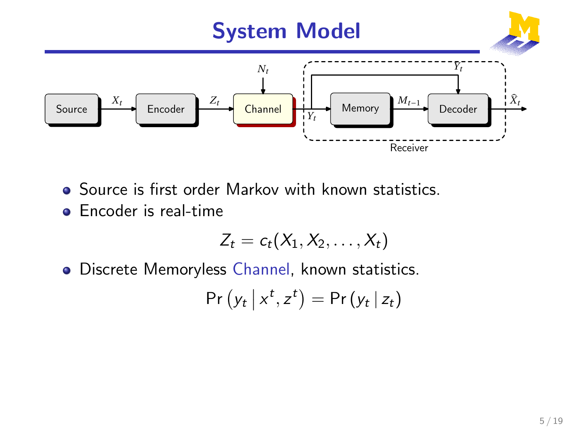#### System Model Source  $\begin{array}{ccc}\n\hline\n\end{array}$  Encoder  $\begin{array}{ccc}\n\hline\n\end{array}$  Channel  $\begin{array}{ccc}\n\hline\n\end{array}$  Memory  $\begin{array}{ccc}\n\hline\n\end{array}$  Decoder *Nt*  $\overline{X_t}$  *Z<sub>t</sub> Z<sub>t</sub> Yt Mt*−<sup>1</sup> *Yt*  $\widehat{X}_t$ Receiver

- **•** Source is first order Markov with known statistics.
- **•** Encoder is real-time

$$
Z_t = c_t(X_1, X_2, \ldots, X_t)
$$

**.** Discrete Memoryless Channel, known statistics.

$$
\text{Pr}\left(y_t\,\big|\,x^t, z^t\right) = \text{Pr}\left(y_t\,\big|\,z_t\right)
$$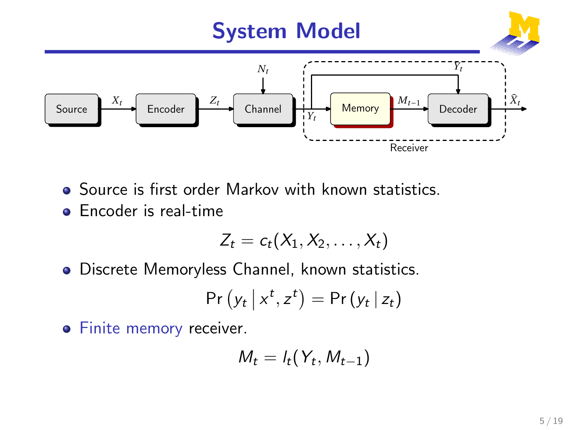#### System Model Source  $\begin{array}{ccc}\n\downarrow &\downarrow &\downarrow \\
\downarrow &\downarrow &\downarrow\n\end{array}$  Memory  $\begin{array}{ccc}\n\downarrow &\downarrow &\downarrow\n\end{array}$  Decoder *Nt*  $\left| \begin{array}{c} X_t \\ \end{array} \right|$  *Z*<sub>t</sub>  $Y_t$ *Mt*−<sup>1</sup> *Yt*  $\widehat{X}_l$ Receiver

- **•** Source is first order Markov with known statistics.
- **•** Encoder is real-time

$$
Z_t = c_t(X_1, X_2, \ldots, X_t)
$$

Discrete Memoryless Channel, known statistics.

$$
Pr(y_t | x^t, z^t) = Pr(y_t | z_t)
$$

**•** Finite memory receiver.

$$
M_t = I_t(Y_t, M_{t-1})
$$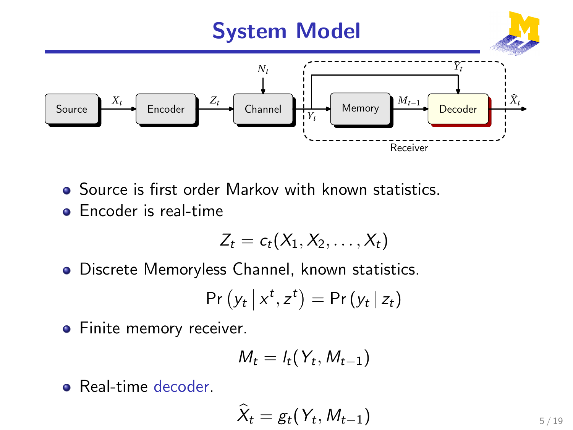

- **•** Source is first order Markov with known statistics.
- **•** Encoder is real-time

$$
Z_t = c_t(X_1, X_2, \ldots, X_t)
$$

Discrete Memoryless Channel, known statistics.

$$
Pr(y_t | x^t, z^t) = Pr(y_t | z_t)
$$

• Finite memory receiver.

$$
M_t = I_t(Y_t, M_{t-1})
$$

**e** Real-time decoder.

$$
\widehat{X}_t = g_t(Y_t, M_{t-1})
$$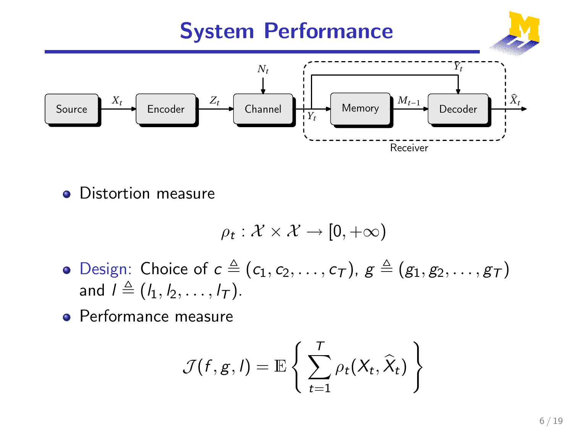# System Performance



Distortion measure  $\bullet$ 

$$
\rho_t: \mathcal{X} \times \mathcal{X} \to [0,+\infty)
$$

- Design: Choice of  $c \triangleq (c_1, c_2, \ldots, c_T)$ ,  $g \triangleq (g_1, g_2, \ldots, g_T)$ and  $l \triangleq (l_1, l_2, \ldots, l_T)$ .
- Performance measure

$$
\mathcal{J}(f,g,I) = \mathbb{E}\left\{\sum_{t=1}^T \rho_t(X_t,\widehat{X}_t)\right\}
$$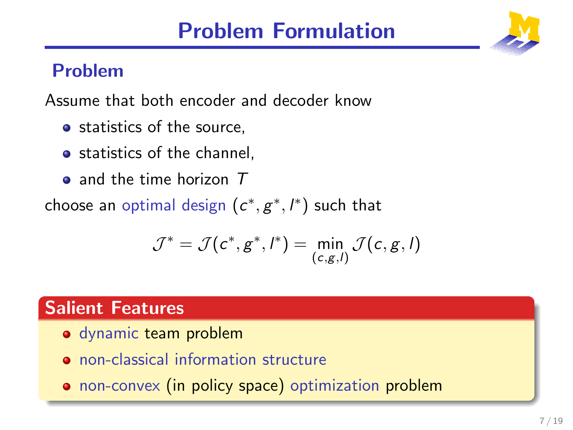# Problem Formulation

#### Problem

Assume that both encoder and decoder know

- statistics of the source,
- statistics of the channel.
- $\bullet$  and the time horizon  $\tau$

choose an optimal design  $(c^*,g^*,l^*)$  such that

$$
\mathcal{J}^* = \mathcal{J}(c^*, g^*, l^*) = \min_{(c,g,l)} \mathcal{J}(c,g,l)
$$

#### Salient Features

- **o** dynamic team problem
- **o** non-classical information structure
- non-convex (in policy space) optimization problem

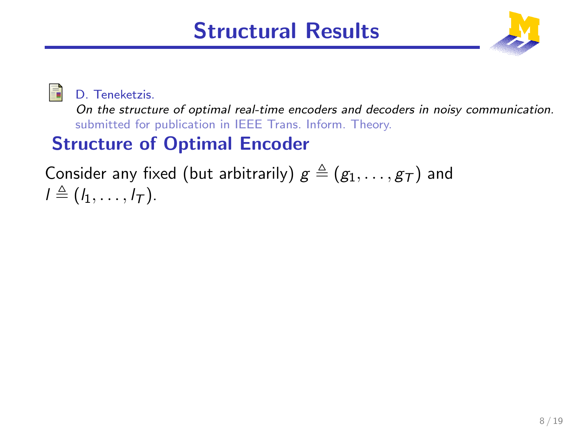

#### 晶

D. Teneketzis

On the structure of optimal real-time encoders and decoders in noisy communication. submitted for publication in IEEE Trans. Inform. Theory.

## Structure of Optimal Encoder

Consider any fixed (but arbitrarily)  $g \triangleq (g_1, \ldots, g_T)$  and  $l \triangleq (l_1, \ldots, l_T)$ .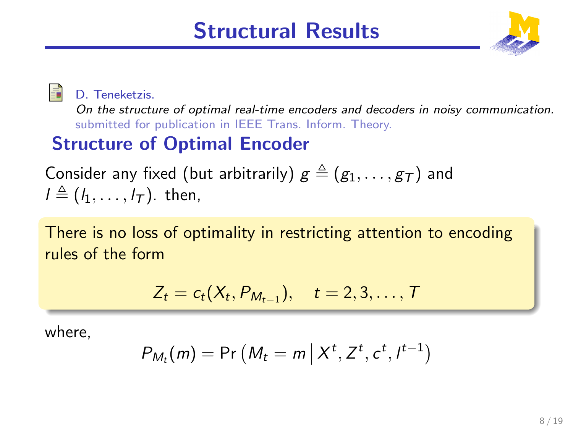

D. Teneketzis.

On the structure of optimal real-time encoders and decoders in noisy communication. submitted for publication in IEEE Trans. Inform. Theory.

## Structure of Optimal Encoder

Consider any fixed (but arbitrarily)  $g \triangleq (g_1, \ldots, g_T)$  and  $l \triangleq (l_1, \ldots, l_T)$ . then,

There is no loss of optimality in restricting attention to encoding rules of the form

$$
Z_t = c_t(X_t, P_{M_{t-1}}), \quad t = 2, 3, \ldots, T
$$

where,

$$
P_{M_t}(m) = \Pr\left(M_t = m \,\middle|\, X^t, Z^t, c^t, l^{t-1}\right)
$$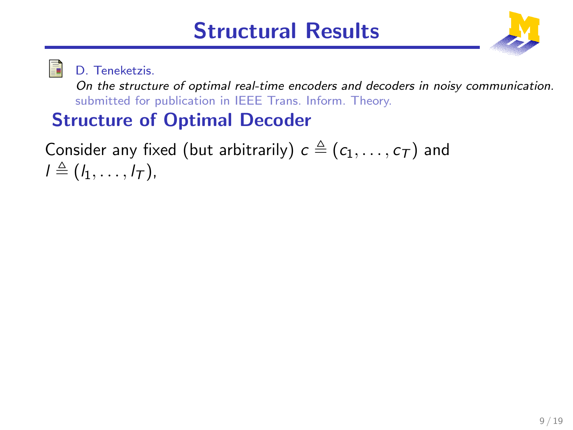

D. Teneketzis.

On the structure of optimal real-time encoders and decoders in noisy communication. submitted for publication in IEEE Trans. Inform. Theory.

## Structure of Optimal Decoder

Consider any fixed (but arbitrarily)  $c \triangleq (c_1, \ldots, c_T)$  and  $l \triangleq (l_1, \ldots, l_{\tau}),$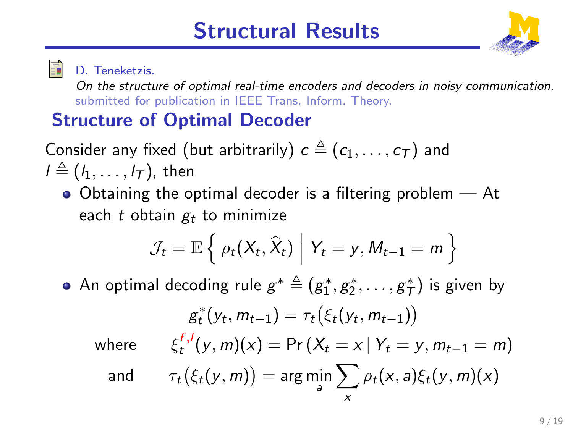

D. Teneketzis.

On the structure of optimal real-time encoders and decoders in noisy communication. submitted for publication in IEEE Trans. Inform. Theory.

# Structure of Optimal Decoder

Consider any fixed (but arbitrarily)  $c \triangleq (c_1, \ldots, c_T)$  and  $l \triangleq (l_1, \ldots, l_T)$ , then

 $\bullet$  Obtaining the optimal decoder is a filtering problem  $\sim$  At each t obtain  $g_t$  to minimize

$$
\mathcal{J}_t = \mathbb{E}\left\{\rho_t(X_t, \widehat{X}_t) \middle| Y_t = y, M_{t-1} = m\right\}
$$

An optimal decoding rule  $g^*\triangleq (g_1^*)^2$  $f_1^*, g_2^*$  $z_2^*, \ldots, z_7^*$  $(\tau^*_\mathcal{T})$  is given by

$$
g_t^*(y_t, m_{t-1}) = \tau_t(\xi_t(y_t, m_{t-1}))
$$

where and

$$
\xi_t^{f, l}(y, m)(x) = \Pr(X_t = x | Y_t = y, m_{t-1} = m)
$$

$$
\tau_t(\xi_t(y, m)) = \arg\min_a \sum_x \rho_t(x, a) \xi_t(y, m)(x)
$$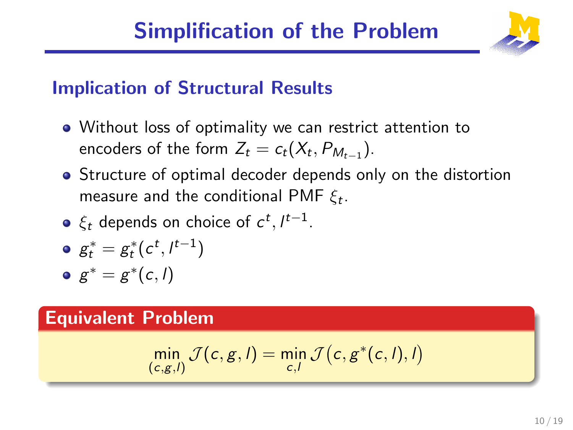

## Implication of Structural Results

- Without loss of optimality we can restrict attention to encoders of the form  $Z_t = c_t(X_t, P_{M_{t-1}})$ .
- Structure of optimal decoder depends only on the distortion measure and the conditional PMF  $\xi_t$ .
- $\xi_t$  depends on choice of  $c^t, l^{t-1}$ .

$$
\bullet \; g_t^* = g_t^*(c^t, l^{t-1})
$$

$$
\bullet \; g^* = g^*(c,l)
$$

#### Equivalent Problem

$$
\min_{(c,g,l)} \mathcal{J}(c,g,l) = \min_{c,l} \mathcal{J}(c,g^*(c,l),l)
$$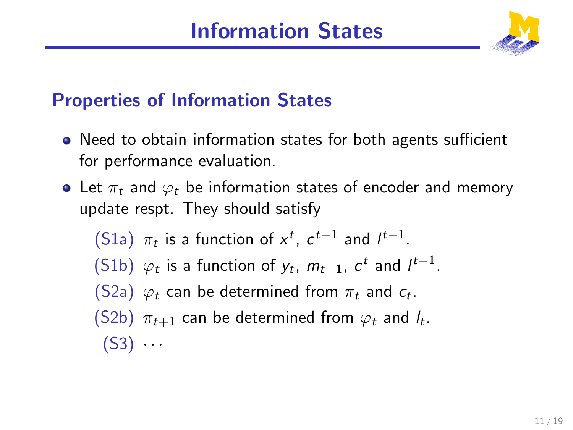

#### Properties of Information States

- Need to obtain information states for both agents sufficient for performance evaluation.
- Let  $\pi_t$  and  $\varphi_t$  be information states of encoder and memory update respt. They should satisfy

\n- (S1a) 
$$
\pi_t
$$
 is a function of  $x^t$ ,  $c^{t-1}$  and  $l^{t-1}$ .
\n- (S1b)  $\varphi_t$  is a function of  $y_t$ ,  $m_{t-1}$ ,  $c^t$  and  $l^{t-1}$ .
\n- (S2a)  $\varphi_t$  can be determined from  $\pi_t$  and  $c_t$ .
\n- (S2b)  $\pi_{t+1}$  can be determined from  $\varphi_t$  and  $l_t$ .
\n- (S3)  $\cdots$
\n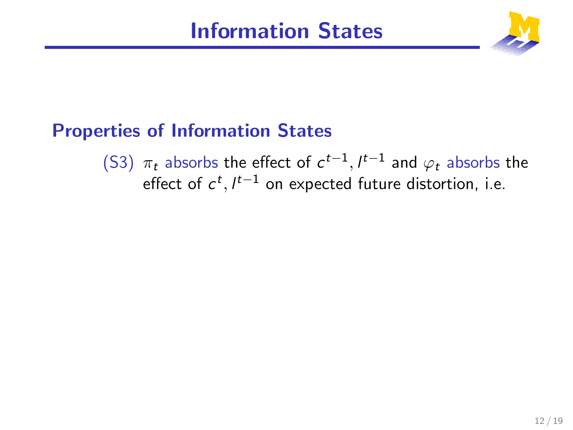# Information States



## Properties of Information States

(S3)  $\pi_t$  absorbs the effect of  $c^{t-1}$ ,  $l^{t-1}$  and  $\varphi_t$  absorbs the effect of  $c^t, l^{t-1}$  on expected future distortion, i.e.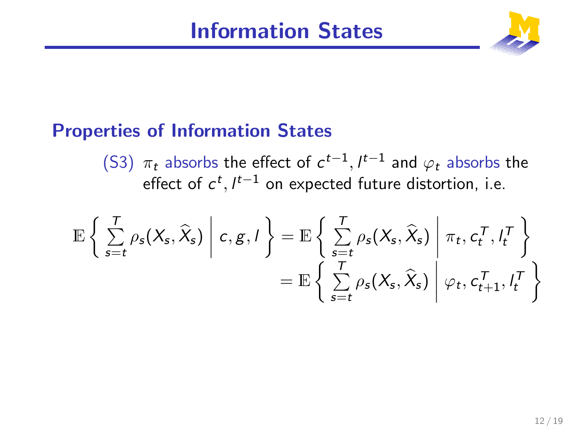# Information States



### Properties of Information States

(S3)  $\pi_t$  absorbs the effect of  $c^{t-1}$ ,  $l^{t-1}$  and  $\varphi_t$  absorbs the effect of  $c^t, l^{t-1}$  on expected future distortion, i.e.

$$
\mathbb{E}\left\{\left.\sum_{s=t}^{T}\rho_{s}(X_{s},\widehat{X}_{s})\,\right|c,g,I\right\}=\mathbb{E}\left\{\left.\sum_{s=t}^{T}\rho_{s}(X_{s},\widehat{X}_{s})\,\right|\pi_{t},c_{t}^{T},l_{t}^{T}\right\}\right\}=\mathbb{E}\left\{\left.\sum_{s=t}^{T}\rho_{s}(X_{s},\widehat{X}_{s})\,\right|\varphi_{t},c_{t+1}^{T},l_{t}^{T}\right\}
$$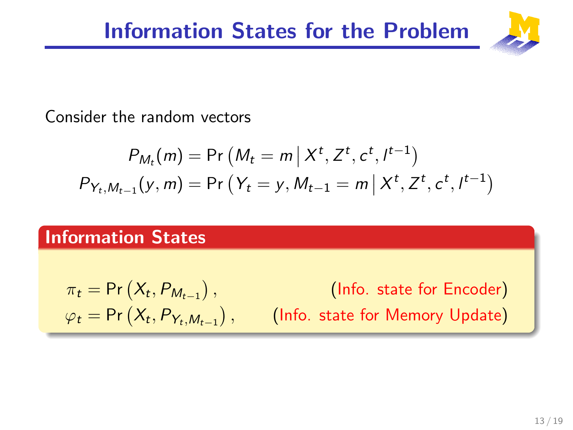

Consider the random vectors

$$
P_{M_t}(m) = \Pr(M_t = m \,|\, X^t, Z^t, c^t, l^{t-1})
$$
  

$$
P_{Y_t, M_{t-1}}(y, m) = \Pr(Y_t = y, M_{t-1} = m \,|\, X^t, Z^t, c^t, l^{t-1})
$$

#### Information States

 $\pi_t = \mathsf{Pr}\left(X_t, P_{M_{t-1}}\right)$ (Info. state for Encoder)  $\varphi_t = \mathsf{Pr}\left(X_t, P_{Y_t, M_{t-1}}\right)$ , (Info. state for Memory Update)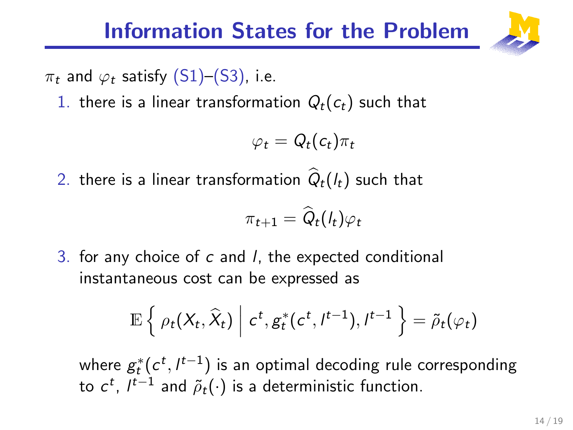# Information States for the Problem

 $\pi_t$  and  $\varphi_t$  satisfy (S1)–(S3), i.e.

1. there is a linear transformation  $Q_t(c_t)$  such that

$$
\varphi_t = Q_t(c_t)\pi_t
$$

2. there is a linear transformation  $\widehat{Q}_t(l_t)$  such that

$$
\pi_{t+1} = \widehat{Q}_t(I_t)\varphi_t
$$

3. for any choice of c and l, the expected conditional instantaneous cost can be expressed as

$$
\mathbb{E}\left\{\rho_t(X_t,\widehat{X}_t) \middle| c^t, g_t^*(c^t, l^{t-1}), l^{t-1}\right\} = \widetilde{\rho}_t(\varphi_t)
$$

where  $g_t^*$  $\boldsymbol{t}^*_t(\boldsymbol{c}^t, l^{t-1})$  is an optimal decoding rule corresponding to  $c^t$ ,  $l^{t-1}$  and  $\tilde{\rho}_t(\cdot)$  is a deterministic function.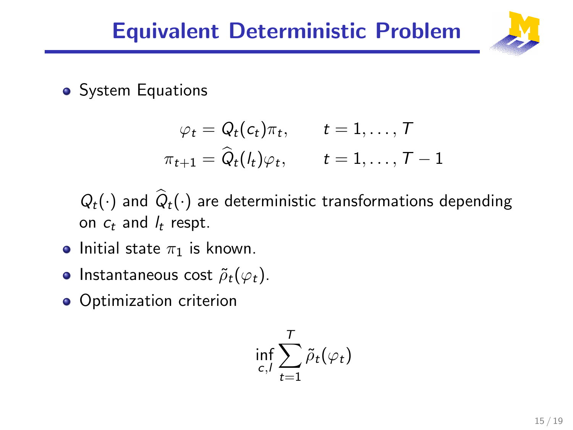# Equivalent Deterministic Problem



• System Equations

$$
\varphi_t = Q_t(c_t)\pi_t, \qquad t = 1, \dots, T
$$
  

$$
\pi_{t+1} = \widehat{Q}_t(l_t)\varphi_t, \qquad t = 1, \dots, T-1
$$

 $Q_t(\cdot)$  and  $\widehat{Q}_t(\cdot)$  are deterministic transformations depending on  $c_t$  and  $l_t$  respt.

- Initial state  $\pi_1$  is known.
- Instantaneous cost  $\tilde{\rho}_t(\varphi_t)$ .
- **•** Optimization criterion

$$
\inf_{c,l}\sum_{t=1}^T \tilde{\rho}_t(\varphi_t)
$$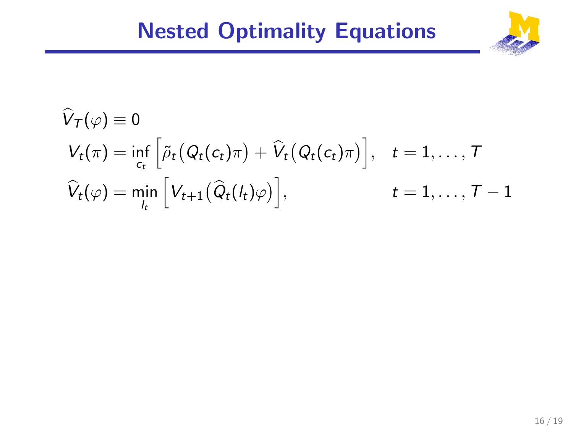

$$
\widehat{V}_T(\varphi) \equiv 0
$$
\n
$$
V_t(\pi) = \inf_{c_t} \left[ \widetilde{\rho}_t \big( Q_t(c_t) \pi \big) + \widehat{V}_t \big( Q_t(c_t) \pi \big) \right], \quad t = 1, \dots, T
$$
\n
$$
\widehat{V}_t(\varphi) = \min_{l_t} \left[ V_{t+1} \big( \widehat{Q}_t(l_t) \varphi \big) \right], \qquad t = 1, \dots, T - 1
$$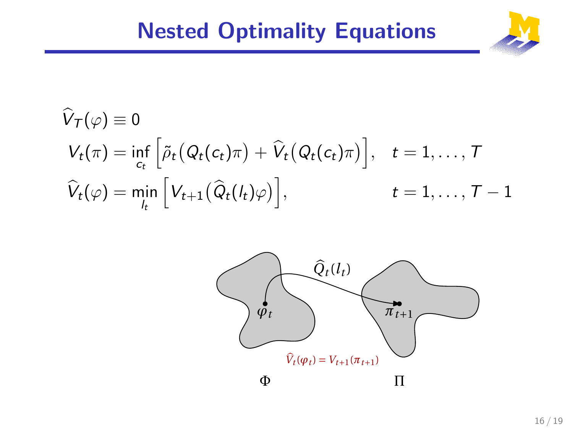

$$
\widehat{V}_T(\varphi) \equiv 0
$$
\n
$$
V_t(\pi) = \inf_{c_t} \left[ \widetilde{\rho}_t \big( Q_t(c_t) \pi \big) + \widehat{V}_t \big( Q_t(c_t) \pi \big) \right], \quad t = 1, \dots, T
$$
\n
$$
\widehat{V}_t(\varphi) = \min_{l_t} \left[ V_{t+1} \big( \widehat{Q}_t(l_t) \varphi \big) \right], \qquad t = 1, \dots, T - 1
$$

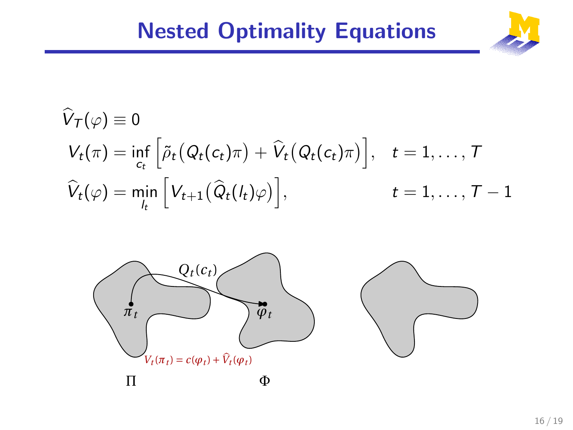

$$
\widehat{V}_T(\varphi) \equiv 0
$$
\n
$$
V_t(\pi) = \inf_{c_t} \left[ \widetilde{\rho}_t (Q_t(c_t)\pi) + \widehat{V}_t (Q_t(c_t)\pi) \right], \quad t = 1, ..., T
$$
\n
$$
\widehat{V}_t(\varphi) = \min_{l_t} \left[ V_{t+1} (\widehat{Q}_t(l_t)\varphi) \right], \qquad t = 1, ..., T - 1
$$

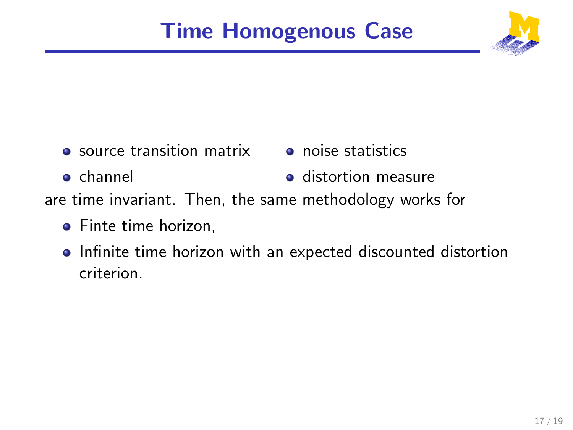# Time Homogenous Case



- $source$  transition matrix  $\qquad \bullet$  noise statistics
- 
- channel **o** distortion measure

are time invariant. Then, the same methodology works for

- Finte time horizon,
- Infinite time horizon with an expected discounted distortion criterion.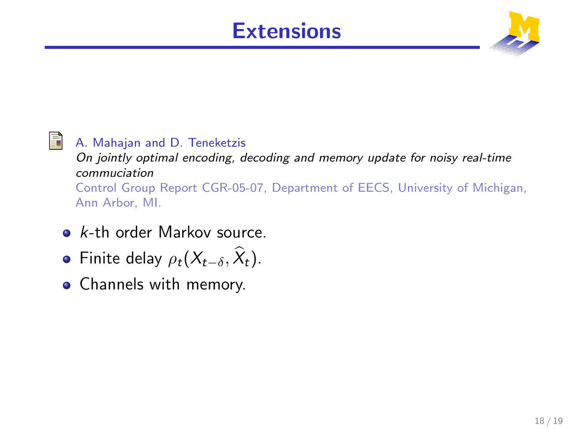# **Extensions**



#### H

#### A. Mahajan and D. Teneketzis

On jointly optimal encoding, decoding and memory update for noisy real-time commuciation Control Group Report CGR-05-07, Department of EECS, University of Michigan,

Ann Arbor, MI.

- $\bullet$  k-th order Markov source.
- $\bullet$  Finite delay  $\rho_t(X_{t-\delta}, \widehat{X}_t)$ .
- Channels with memory.